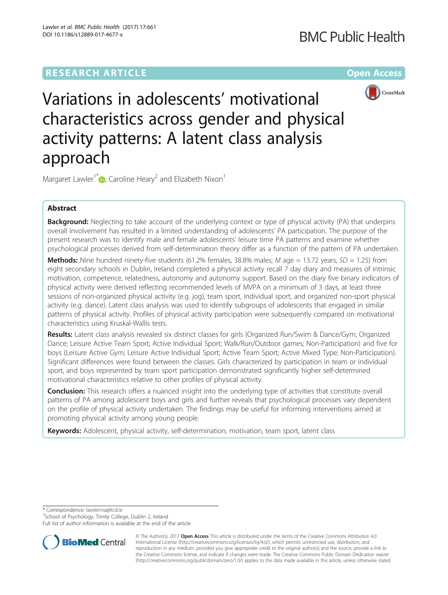# **RESEARCH ARTICLE Example 2014 12:30 The Community Community Community Community Community Community Community**



Variations in adolescents' motivational characteristics across gender and physical activity patterns: A latent class analysis approach

Margaret Lawler<sup>1\*</sup>  $\bullet$ [,](http://orcid.org/0000-0001-8904-4453) Caroline Heary<sup>2</sup> and Elizabeth Nixon<sup>1</sup>

# Abstract

**Background:** Neglecting to take account of the underlying context or type of physical activity (PA) that underpins overall involvement has resulted in a limited understanding of adolescents' PA participation. The purpose of the present research was to identify male and female adolescents' leisure time PA patterns and examine whether psychological processes derived from self-determination theory differ as a function of the pattern of PA undertaken.

**Methods:** Nine hundred ninety-five students (61.2% females, 38.8% males; *M* age = 13.72 years, *SD* = 1.25) from eight secondary schools in Dublin, Ireland completed a physical activity recall 7 day diary and measures of intrinsic motivation, competence, relatedness, autonomy and autonomy support. Based on the diary five binary indicators of physical activity were derived reflecting recommended levels of MVPA on a minimum of 3 days, at least three sessions of non-organized physical activity (e.g. jog), team sport, individual sport, and organized non-sport physical activity (e.g. dance). Latent class analysis was used to identify subgroups of adolescents that engaged in similar patterns of physical activity. Profiles of physical activity participation were subsequently compared on motivational characteristics using Kruskal-Wallis tests.

Results: Latent class analysis revealed six distinct classes for girls (Organized Run/Swim & Dance/Gym; Organized Dance; Leisure Active Team Sport; Active Individual Sport; Walk/Run/Outdoor games; Non-Participation) and five for boys (Leisure Active Gym; Leisure Active Individual Sport; Active Team Sport; Active Mixed Type; Non-Participation). Significant differences were found between the classes. Girls characterized by participation in team or individual sport, and boys represented by team sport participation demonstrated significantly higher self-determined motivational characteristics relative to other profiles of physical activity.

**Conclusion:** This research offers a nuanced insight into the underlying type of activities that constitute overall patterns of PA among adolescent boys and girls and further reveals that psychological processes vary dependent on the profile of physical activity undertaken. The findings may be useful for informing interventions aimed at promoting physical activity among young people.

Keywords: Adolescent, physical activity, self-determination, motivation, team sport, latent class

\* Correspondence: [lawlerma@tcd.ie](mailto:lawlerma@tcd.ie) <sup>1</sup>

<sup>1</sup>School of Psychology, Trinity College, Dublin 2, Ireland

Full list of author information is available at the end of the article



© The Author(s). 2017 **Open Access** This article is distributed under the terms of the Creative Commons Attribution 4.0 International License [\(http://creativecommons.org/licenses/by/4.0/](http://creativecommons.org/licenses/by/4.0/)), which permits unrestricted use, distribution, and reproduction in any medium, provided you give appropriate credit to the original author(s) and the source, provide a link to the Creative Commons license, and indicate if changes were made. The Creative Commons Public Domain Dedication waiver [\(http://creativecommons.org/publicdomain/zero/1.0/](http://creativecommons.org/publicdomain/zero/1.0/)) applies to the data made available in this article, unless otherwise stated.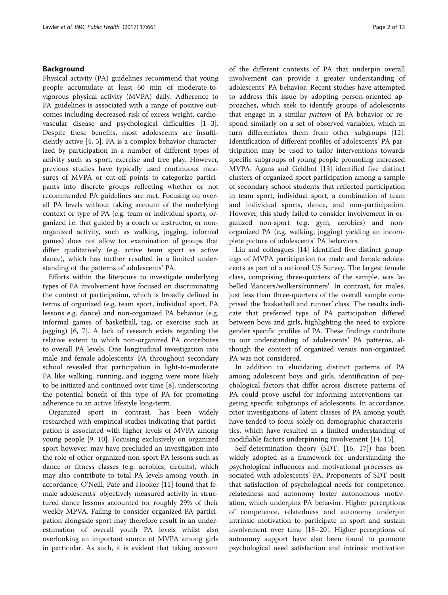# Background

Physical activity (PA) guidelines recommend that young people accumulate at least 60 min of moderate-tovigorous physical activity (MVPA) daily. Adherence to PA guidelines is associated with a range of positive outcomes including decreased risk of excess weight, cardiovascular disease and psychological difficulties [\[1](#page-11-0)–[3](#page-11-0)]. Despite these benefits, most adolescents are insufficiently active [[4, 5\]](#page-11-0). PA is a complex behavior characterized by participation in a number of different types of activity such as sport, exercise and free play. However, previous studies have typically used continuous measures of MVPA or cut-off points to categorize participants into discrete groups reflecting whether or not recommended PA guidelines are met. Focusing on overall PA levels without taking account of the underlying context or type of PA (e.g. team or individual sports; organized i.e. that guided by a coach or instructor, or nonorganized activity, such as walking, jogging, informal games) does not allow for examination of groups that differ qualitatively (e.g. active team sport vs active dance), which has further resulted in a limited understanding of the patterns of adolescents' PA.

Efforts within the literature to investigate underlying types of PA involvement have focused on discriminating the context of participation, which is broadly defined in terms of organized (e.g. team sport, individual sport, PA lessons e.g. dance) and non-organized PA behavior (e.g. informal games of basketball, tag, or exercise such as jogging) [\[6](#page-11-0), [7\]](#page-11-0). A lack of research exists regarding the relative extent to which non-organized PA contributes to overall PA levels. One longitudinal investigation into male and female adolescents' PA throughout secondary school revealed that participation in light-to-moderate PA like walking, running, and jogging were more likely to be initiated and continued over time [[8\]](#page-11-0), underscoring the potential benefit of this type of PA for promoting adherence to an active lifestyle long-term.

Organized sport in contrast, has been widely researched with empirical studies indicating that participation is associated with higher levels of MVPA among young people [\[9](#page-11-0), [10\]](#page-11-0). Focusing exclusively on organized sport however, may have precluded an investigation into the role of other organized non-sport PA lessons such as dance or fitness classes (e.g. aerobics, circuits), which may also contribute to total PA levels among youth. In accordance, O'Neill, Pate and Hooker [[11](#page-11-0)] found that female adolescents' objectively measured activity in structured dance lessons accounted for roughly 29% of their weekly MPVA. Failing to consider organized PA participation alongside sport may therefore result in an underestimation of overall youth PA levels whilst also overlooking an important source of MVPA among girls in particular. As such, it is evident that taking account of the different contexts of PA that underpin overall involvement can provide a greater understanding of adolescents' PA behavior. Recent studies have attempted to address this issue by adopting person-oriented approaches, which seek to identify groups of adolescents that engage in a similar pattern of PA behavior or respond similarly on a set of observed variables, which in turn differentiates them from other subgroups [\[12](#page-11-0)]. Identification of different profiles of adolescents' PA participation may be used to tailor interventions towards specific subgroups of young people promoting increased MVPA. Agans and Geldhof [\[13\]](#page-11-0) identified five distinct clusters of organized sport participation among a sample of secondary school students that reflected participation in team sport, individual sport, a combination of team and individual sports, dance, and non-participation. However, this study failed to consider involvement in organized non-sport (e.g. gym, aerobics) and nonorganized PA (e.g. walking, jogging) yielding an incomplete picture of adolescents' PA behaviors.

Liu and colleagues [\[14](#page-11-0)] identified five distinct groupings of MVPA participation for male and female adolescents as part of a national US Survey. The largest female class, comprising three-quarters of the sample, was labelled 'dancers/walkers/runners'. In contrast, for males, just less than three-quarters of the overall sample comprised the 'basketball and runner' class. The results indicate that preferred type of PA participation differed between boys and girls, highlighting the need to explore gender specific profiles of PA. These findings contribute to our understanding of adolescents' PA patterns, although the context of organized versus non-organized PA was not considered.

In addition to elucidating distinct patterns of PA among adolescent boys and girls, identification of psychological factors that differ across discrete patterns of PA could prove useful for informing interventions targeting specific subgroups of adolescents. In accordance, prior investigations of latent classes of PA among youth have tended to focus solely on demographic characteristics, which have resulted in a limited understanding of modifiable factors underpinning involvement [[14](#page-11-0), [15](#page-11-0)].

Self-determination theory (SDT; [[16, 17\]](#page-11-0)) has been widely adopted as a framework for understanding the psychological influences and motivational processes associated with adolescents' PA. Proponents of SDT posit that satisfaction of psychological needs for competence, relatedness and autonomy foster autonomous motivation, which underpins PA behavior. Higher perceptions of competence, relatedness and autonomy underpin intrinsic motivation to participate in sport and sustain involvement over time [\[18](#page-11-0)–[20\]](#page-11-0). Higher perceptions of autonomy support have also been found to promote psychological need satisfaction and intrinsic motivation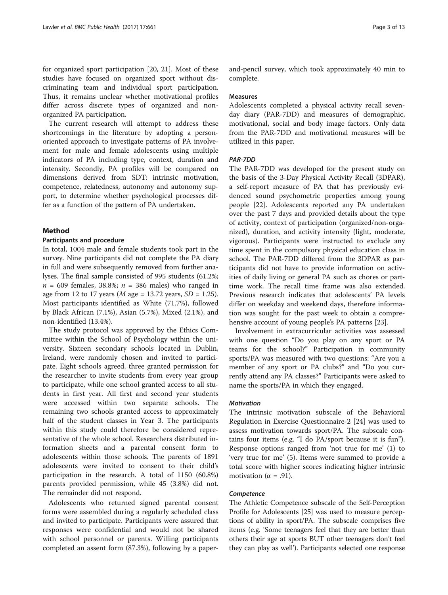for organized sport participation [[20](#page-11-0), [21](#page-11-0)]. Most of these studies have focused on organized sport without discriminating team and individual sport participation. Thus, it remains unclear whether motivational profiles differ across discrete types of organized and nonorganized PA participation.

The current research will attempt to address these shortcomings in the literature by adopting a personoriented approach to investigate patterns of PA involvement for male and female adolescents using multiple indicators of PA including type, context, duration and intensity. Secondly, PA profiles will be compared on dimensions derived from SDT: intrinsic motivation, competence, relatedness, autonomy and autonomy support, to determine whether psychological processes differ as a function of the pattern of PA undertaken.

### Method

#### Participants and procedure

In total, 1004 male and female students took part in the survey. Nine participants did not complete the PA diary in full and were subsequently removed from further analyses. The final sample consisted of 995 students (61.2%;  $n = 609$  females, 38.8%;  $n = 386$  males) who ranged in age from 12 to 17 years (*M* age = 13.72 years,  $SD = 1.25$ ). Most participants identified as White (71.7%), followed by Black African (7.1%), Asian (5.7%), Mixed (2.1%), and non-identified (13.4%).

The study protocol was approved by the Ethics Committee within the School of Psychology within the university. Sixteen secondary schools located in Dublin, Ireland, were randomly chosen and invited to participate. Eight schools agreed, three granted permission for the researcher to invite students from every year group to participate, while one school granted access to all students in first year. All first and second year students were accessed within two separate schools. The remaining two schools granted access to approximately half of the student classes in Year 3. The participants within this study could therefore be considered representative of the whole school. Researchers distributed information sheets and a parental consent form to adolescents within those schools. The parents of 1891 adolescents were invited to consent to their child's participation in the research. A total of 1150 (60.8%) parents provided permission, while 45 (3.8%) did not. The remainder did not respond.

Adolescents who returned signed parental consent forms were assembled during a regularly scheduled class and invited to participate. Participants were assured that responses were confidential and would not be shared with school personnel or parents. Willing participants completed an assent form (87.3%), following by a paperand-pencil survey, which took approximately 40 min to complete.

#### Measures

Adolescents completed a physical activity recall sevenday diary (PAR-7DD) and measures of demographic, motivational, social and body image factors. Only data from the PAR-7DD and motivational measures will be utilized in this paper.

#### PAR-7DD

The PAR-7DD was developed for the present study on the basis of the 3-Day Physical Activity Recall (3DPAR), a self-report measure of PA that has previously evidenced sound psychometric properties among young people [\[22\]](#page-11-0). Adolescents reported any PA undertaken over the past 7 days and provided details about the type of activity, context of participation (organized/non-organized), duration, and activity intensity (light, moderate, vigorous). Participants were instructed to exclude any time spent in the compulsory physical education class in school. The PAR-7DD differed from the 3DPAR as participants did not have to provide information on activities of daily living or general PA such as chores or parttime work. The recall time frame was also extended. Previous research indicates that adolescents' PA levels differ on weekday and weekend days, therefore information was sought for the past week to obtain a comprehensive account of young people's PA patterns [\[23](#page-12-0)].

Involvement in extracurricular activities was assessed with one question "Do you play on any sport or PA teams for the school?" Participation in community sports/PA was measured with two questions: "Are you a member of any sport or PA clubs?" and "Do you currently attend any PA classes?" Participants were asked to name the sports/PA in which they engaged.

### Motivation

The intrinsic motivation subscale of the Behavioral Regulation in Exercise Questionnaire-2 [\[24\]](#page-12-0) was used to assess motivation towards sport/PA. The subscale contains four items (e.g. "I do PA/sport because it is fun"). Response options ranged from 'not true for me' (1) to 'very true for me' (5). Items were summed to provide a total score with higher scores indicating higher intrinsic motivation ( $α = .91$ ).

# **Competence**

The Athletic Competence subscale of the Self-Perception Profile for Adolescents [[25](#page-12-0)] was used to measure perceptions of ability in sport/PA. The subscale comprises five items (e.g. 'Some teenagers feel that they are better than others their age at sports BUT other teenagers don't feel they can play as well'). Participants selected one response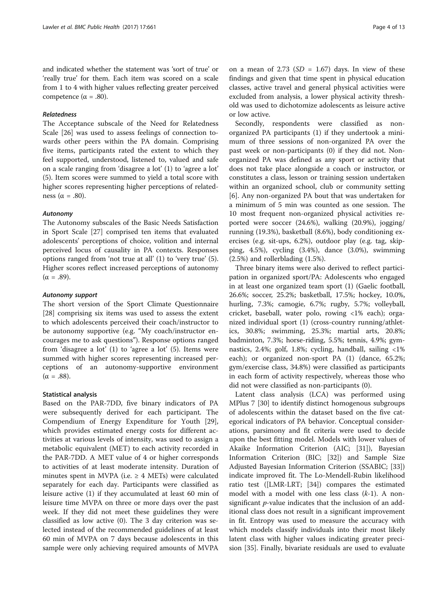and indicated whether the statement was 'sort of true' or 'really true' for them. Each item was scored on a scale from 1 to 4 with higher values reflecting greater perceived competence ( $α = .80$ ).

#### Relatedness

The Acceptance subscale of the Need for Relatedness Scale [[26](#page-12-0)] was used to assess feelings of connection towards other peers within the PA domain. Comprising five items, participants rated the extent to which they feel supported, understood, listened to, valued and safe on a scale ranging from 'disagree a lot' (1) to 'agree a lot' (5). Item scores were summed to yield a total score with higher scores representing higher perceptions of relatedness ( $\alpha = .80$ ).

#### Autonomy

The Autonomy subscales of the Basic Needs Satisfaction in Sport Scale [[27\]](#page-12-0) comprised ten items that evaluated adolescents' perceptions of choice, volition and internal perceived locus of causality in PA contexts. Responses options ranged from 'not true at all' (1) to 'very true' (5). Higher scores reflect increased perceptions of autonomy  $(\alpha = .89)$ .

#### Autonomy support

The short version of the Sport Climate Questionnaire [[28\]](#page-12-0) comprising six items was used to assess the extent to which adolescents perceived their coach/instructor to be autonomy supportive (e.g. "My coach/instructor encourages me to ask questions"). Response options ranged from 'disagree a lot' (1) to 'agree a lot' (5). Items were summed with higher scores representing increased perceptions of an autonomy-supportive environment  $(\alpha = .88)$ .

#### Statistical analysis

Based on the PAR-7DD, five binary indicators of PA were subsequently derived for each participant. The Compendium of Energy Expenditure for Youth [\[29](#page-12-0)], which provides estimated energy costs for different activities at various levels of intensity, was used to assign a metabolic equivalent (MET) to each activity recorded in the PAR-7DD. A MET value of 4 or higher corresponds to activities of at least moderate intensity. Duration of minutes spent in MVPA (i.e.  $\geq$  4 METs) were calculated separately for each day. Participants were classified as leisure active (1) if they accumulated at least 60 min of leisure time MVPA on three or more days over the past week. If they did not meet these guidelines they were classified as low active (0). The 3 day criterion was selected instead of the recommended guidelines of at least 60 min of MVPA on 7 days because adolescents in this sample were only achieving required amounts of MVPA on a mean of  $2.73$  (SD = 1.67) days. In view of these findings and given that time spent in physical education classes, active travel and general physical activities were excluded from analysis, a lower physical activity threshold was used to dichotomize adolescents as leisure active or low active.

Secondly, respondents were classified as nonorganized PA participants (1) if they undertook a minimum of three sessions of non-organized PA over the past week or non-participants (0) if they did not. Nonorganized PA was defined as any sport or activity that does not take place alongside a coach or instructor, or constitutes a class, lesson or training session undertaken within an organized school, club or community setting [[6\]](#page-11-0). Any non-organized PA bout that was undertaken for a minimum of 5 min was counted as one session. The 10 most frequent non-organized physical activities reported were soccer (24.6%), walking (20.9%), jogging/ running (19.3%), basketball (8.6%), body conditioning exercises (e.g. sit-ups, 6.2%), outdoor play (e.g. tag, skipping, 4.5%), cycling (3.4%), dance (3.0%), swimming (2.5%) and rollerblading (1.5%).

Three binary items were also derived to reflect participation in organized sport/PA: Adolescents who engaged in at least one organized team sport (1) (Gaelic football, 26.6%; soccer, 25.2%; basketball, 17.5%; hockey, 10.0%, hurling, 7.3%; camogie, 6.7%; rugby, 5.7%; volleyball, cricket, baseball, water polo, rowing <1% each); organized individual sport (1) (cross-country running/athletics, 30.8%; swimming, 25.3%; martial arts, 20.8%; badminton, 7.3%; horse-riding, 5.5%; tennis, 4.9%; gymnastics, 2.4%; golf, 1.8%; cycling, handball, sailing <1% each); or organized non-sport PA (1) (dance, 65.2%; gym/exercise class, 34.8%) were classified as participants in each form of activity respectively, whereas those who did not were classified as non-participants (0).

Latent class analysis (LCA) was performed using MPlus 7 [[30](#page-12-0)] to identify distinct homogenous subgroups of adolescents within the dataset based on the five categorical indicators of PA behavior. Conceptual considerations, parsimony and fit criteria were used to decide upon the best fitting model. Models with lower values of Akaike Information Criterion (AIC; [[31\]](#page-12-0)), Bayesian Information Criterion (BIC; [\[32](#page-12-0)]) and Sample Size Adjusted Bayesian Information Criterion (SSABIC; [\[33](#page-12-0)]) indicate improved fit. The Lo-Mendell-Rubin likelihood ratio test ([LMR-LRT; [\[34](#page-12-0)]) compares the estimated model with a model with one less class  $(k-1)$ . A nonsignificant *p*-value indicates that the inclusion of an additional class does not result in a significant improvement in fit. Entropy was used to measure the accuracy with which models classify individuals into their most likely latent class with higher values indicating greater precision [\[35\]](#page-12-0). Finally, bivariate residuals are used to evaluate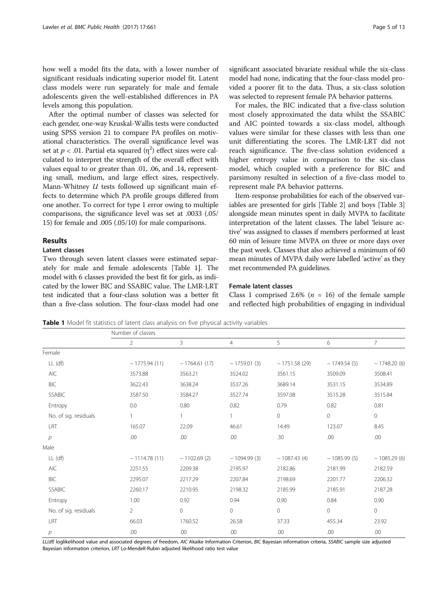how well a model fits the data, with a lower number of significant residuals indicating superior model fit. Latent class models were run separately for male and female adolescents given the well-established differences in PA levels among this population.

After the optimal number of classes was selected for each gender, one-way Kruskal-Wallis tests were conducted using SPSS version 21 to compare PA profiles on motivational characteristics. The overall significance level was set at  $p < .01$ . Partial eta squared ( $\eta^2$ ) effect sizes were calculated to interpret the strength of the overall effect with values equal to or greater than .01, .06, and .14, representing small, medium, and large effect sizes, respectively. Mann-Whitney U tests followed up significant main effects to determine which PA profile groups differed from one another. To correct for type 1 error owing to multiple comparisons, the significance level was set at .0033 (.05/ 15) for female and .005 (.05/10) for male comparisons.

# Results

# Latent classes

Two through seven latent classes were estimated separately for male and female adolescents [Table 1]. The model with 6 classes provided the best fit for girls, as indicated by the lower BIC and SSABIC value. The LMR-LRT test indicated that a four-class solution was a better fit than a five-class solution. The four-class model had one significant associated bivariate residual while the six-class model had none, indicating that the four-class model provided a poorer fit to the data. Thus, a six-class solution was selected to represent female PA behavior patterns.

For males, the BIC indicated that a five-class solution most closely approximated the data whilst the SSABIC and AIC pointed towards a six-class model, although values were similar for these classes with less than one unit differentiating the scores. The LMR-LRT did not reach significance. The five-class solution evidenced a higher entropy value in comparison to the six-class model, which coupled with a preference for BIC and parsimony resulted in selection of a five-class model to represent male PA behavior patterns.

Item-response probabilities for each of the observed variables are presented for girls [Table [2](#page-5-0)] and boys [Table [3](#page-5-0)] alongside mean minutes spent in daily MVPA to facilitate interpretation of the latent classes. The label 'leisure active' was assigned to classes if members performed at least 60 min of leisure time MVPA on three or more days over the past week. Classes that also achieved a minimum of 60 mean minutes of MVPA daily were labelled 'active' as they met recommended PA guidelines.

#### Female latent classes

Class 1 comprised 2.6% ( $n = 16$ ) of the female sample and reflected high probabilities of engaging in individual

Table 1 Model fit statistics of latent class analysis on five physical activity variables

|                       | Number of classes |                |                |                |                |                |
|-----------------------|-------------------|----------------|----------------|----------------|----------------|----------------|
|                       | $\overline{2}$    | 3              | $\overline{4}$ | 5              | 6              | $\overline{7}$ |
| Female                |                   |                |                |                |                |                |
| $LL$ (df)             | $-1775.94(11)$    | $-1764.61(17)$ | $-1759.01(3)$  | $-1751.58(29)$ | $-1749.54(5)$  | $-1748.20(6)$  |
| AIC                   | 3573.88           | 3563.21        | 3524.02        | 3561.15        | 3509.09        | 3508.41        |
| BIC                   | 3622.43           | 3638.24        | 3537.26        | 3689.14        | 3531.15        | 3534.89        |
| SSABIC                | 3587.50           | 3584.27        | 3527.74        | 3597.08        | 3515.28        | 3515.84        |
| Entropy               | 0.0               | 0.80           | 0.82           | 0.79           | 0.82           | 0.81           |
| No. of sig. residuals | 1                 |                | $\mathbf{1}$   | $\circ$        | $\overline{0}$ | $\circ$        |
| LRT                   | 165.07            | 22.09          | 46.61          | 14.49          | 123.07         | 8.45           |
| р                     | .00               | .00            | .00            | .30            | .00            | .00            |
| Male                  |                   |                |                |                |                |                |
| $LL$ (df)             | $-1114.78(11)$    | $-1102.69(2)$  | $-1094.99(3)$  | $-1087.43(4)$  | $-1085.99(5)$  | $-1085.29(6)$  |
| AIC                   | 2251.55           | 2209.38        | 2195.97        | 2182.86        | 2181.99        | 2182.59        |
| BIC                   | 2295.07           | 2217.29        | 2207.84        | 2198.69        | 2201.77        | 2206.32        |
| SSABIC                | 2260.17           | 2210.95        | 2198.32        | 2185.99        | 2185.91        | 2187.28        |
| Entropy               | 1.00              | 0.92           | 0.94           | 0.90           | 0.84           | 0.90           |
| No. of sig. residuals | $\overline{2}$    | $\mathbf{0}$   | $\overline{0}$ | $\circ$        | $\Omega$       | $\circ$        |
| LRT                   | 66.03             | 1760.52        | 26.58          | 37.33          | 455.34         | 23.92          |
| р                     | .00               | .00            | .00            | .00            | .00            | .00            |

LL(df) loglikelihood value and associated degrees of freedom, AIC Akaike Information Criterion, BIC Bayesian information criteria, SSABIC sample size adjusted Bayesian information criterion, LRT Lo-Mendell-Rubin adjusted likelihood ratio test value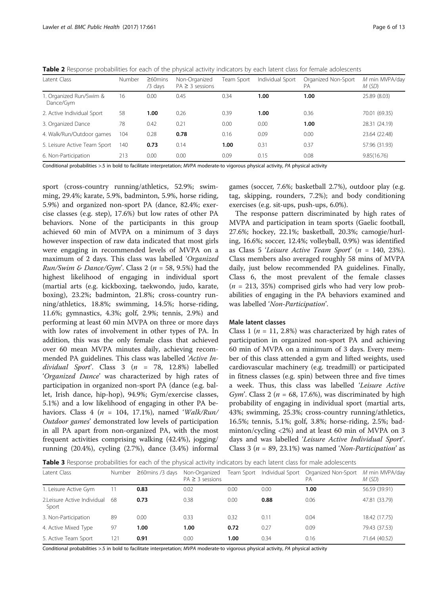<span id="page-5-0"></span>Table 2 Response probabilities for each of the physical activity indicators by each latent class for female adolescents

| Latent Class                         | Number | $\geq$ 60 mins<br>/3 days | Non-Organized<br>$PA \geq 3$ sessions | Team Sport | Individual Sport | Organized Non-Sport<br>PA | M min MVPA/day<br>M(SD) |
|--------------------------------------|--------|---------------------------|---------------------------------------|------------|------------------|---------------------------|-------------------------|
| 1. Organized Run/Swim &<br>Dance/Gym | 16     | 0.00                      | 0.45                                  | 0.34       | 1.00             | 1.00                      | 25.89 (8.03)            |
| 2. Active Individual Sport           | 58     | 1.00                      | 0.26                                  | 0.39       | 1.00             | 0.36                      | 70.01 (69.35)           |
| 3. Organized Dance                   | 78     | 0.42                      | 0.21                                  | 0.00       | 0.00             | 1.00                      | 28.31 (24.19)           |
| 4. Walk/Run/Outdoor games            | 104    | 0.28                      | 0.78                                  | 0.16       | 0.09             | 0.00                      | 23.64 (22.48)           |
| 5. Leisure Active Team Sport         | 140    | 0.73                      | 0.14                                  | 1.00       | 0.31             | 0.37                      | 57.96 (31.93)           |
| 6. Non-Participation                 | 213    | 0.00                      | 0.00                                  | 0.09       | 0.15             | 0.08                      | 9.85(16.76)             |

Conditional probabilities >.5 in bold to facilitate interpretation; MVPA moderate-to vigorous physical activity, PA physical activity

sport (cross-country running/athletics, 52.9%; swimming, 29.4%; karate, 5.9%, badminton, 5.9%, horse riding, 5.9%) and organized non-sport PA (dance, 82.4%; exercise classes (e.g. step), 17.6%) but low rates of other PA behaviors. None of the participants in this group achieved 60 min of MVPA on a minimum of 3 days however inspection of raw data indicated that most girls were engaging in recommended levels of MVPA on a maximum of 2 days. This class was labelled 'Organized Run/Swim & Dance/Gym'. Class 2 ( $n = 58$ , 9.5%) had the highest likelihood of engaging in individual sport (martial arts (e.g. kickboxing, taekwondo, judo, karate, boxing), 23.2%; badminton, 21.8%; cross-country running/athletics, 18.8%; swimming, 14.5%; horse-riding, 11.6%; gymnastics, 4.3%; golf, 2.9%; tennis, 2.9%) and performing at least 60 min MVPA on three or more days with low rates of involvement in other types of PA. In addition, this was the only female class that achieved over 60 mean MVPA minutes daily, achieving recommended PA guidelines. This class was labelled 'Active Individual Sport'. Class  $3(n = 78, 12.8%)$  labelled 'Organized Dance' was characterized by high rates of participation in organized non-sport PA (dance (e.g. ballet, Irish dance, hip-hop), 94.9%; Gym/exercise classes, 5.1%) and a low likelihood of engaging in other PA behaviors. Class  $4(n = 104, 17.1\%)$ , named 'Walk/Run/ Outdoor games' demonstrated low levels of participation in all PA apart from non-organized PA, with the most frequent activities comprising walking (42.4%), jogging/ running (20.4%), cycling (2.7%), dance (3.4%) informal

games (soccer, 7.6%; basketball 2.7%), outdoor play (e.g. tag, skipping, rounders, 7.2%); and body conditioning exercises (e.g. sit-ups, push-ups, 6.0%).

The response pattern discriminated by high rates of MVPA and participation in team sports (Gaelic football, 27.6%; hockey, 22.1%; basketball, 20.3%; camogie/hurling, 16.6%; soccer, 12.4%; volleyball, 0.9%) was identified as Class 5 'Leisure Active Team Sport'  $(n = 140, 23\%)$ . Class members also averaged roughly 58 mins of MVPA daily, just below recommended PA guidelines. Finally, Class 6, the most prevalent of the female classes  $(n = 213, 35%)$  comprised girls who had very low probabilities of engaging in the PA behaviors examined and was labelled 'Non-Participation'.

# Male latent classes

Class 1 ( $n = 11, 2.8\%$ ) was characterized by high rates of participation in organized non-sport PA and achieving 60 min of MVPA on a minimum of 3 days. Every member of this class attended a gym and lifted weights, used cardiovascular machinery (e.g. treadmill) or participated in fitness classes (e.g. spin) between three and five times a week. Thus, this class was labelled 'Leisure Active Gym'. Class 2 ( $n = 68$ , 17.6%), was discriminated by high probability of engaging in individual sport (martial arts, 43%; swimming, 25.3%; cross-country running/athletics, 16.5%; tennis, 5.1%; golf, 3.8%; horse-riding, 2.5%; badminton/cycling <2%) and at least 60 min of MVPA on 3 days and was labelled 'Leisure Active Individual Sport'. Class 3 ( $n = 89, 23.1\%$ ) was named 'Non-Participation' as

Table 3 Response probabilities for each of the physical activity indicators by each latent class for male adolescents

| Latent Class                          | Number | $\geq$ 60mins /3 days | Non-Organized<br>$PA \geq 3$ sessions | Team Sport | Individual Sport | Organized Non-Sport<br>PА | M min MVPA/day<br>M (SD) |
|---------------------------------------|--------|-----------------------|---------------------------------------|------------|------------------|---------------------------|--------------------------|
| 1. Leisure Active Gym                 |        | 0.83                  | 0.02                                  | 0.00       | 0.00             | 1.00                      | 56.59 (39.91)            |
| 2. Leisure Active Individual<br>Sport | -68    | 0.73                  | 0.38                                  | 0.00       | 0.88             | 0.06                      | 47.81 (33.79)            |
| 3. Non-Participation                  | 89     | 0.00                  | 0.33                                  | 0.32       | 0.11             | 0.04                      | 18.42 (17.75)            |
| 4. Active Mixed Type                  | 97     | 1.00                  | 1.00                                  | 0.72       | 0.27             | 0.09                      | 79.43 (37.53)            |
| 5. Active Team Sport                  | 121    | 0.91                  | 0.00                                  | 1.00       | 0.34             | 0.16                      | 71.64 (40.52)            |

Conditional probabilities >.5 in bold to facilitate interpretation; MVPA moderate-to vigorous physical activity, PA physical activity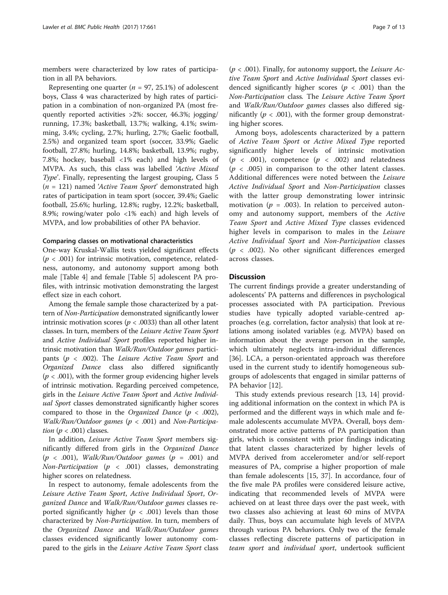members were characterized by low rates of participation in all PA behaviors.

Representing one quarter ( $n = 97, 25.1\%$ ) of adolescent boys, Class 4 was characterized by high rates of participation in a combination of non-organized PA (most frequently reported activities >2%: soccer, 46.3%; jogging/ running, 17.3%; basketball, 13.7%; walking, 4.1%; swimming, 3.4%; cycling, 2.7%; hurling, 2.7%; Gaelic football, 2.5%) and organized team sport (soccer, 33.9%; Gaelic football, 27.8%; hurling, 14.8%; basketball, 13.9%; rugby, 7.8%; hockey, baseball <1% each) and high levels of MVPA. As such, this class was labelled 'Active Mixed Type'. Finally, representing the largest grouping, Class 5  $(n = 121)$  named 'Active Team Sport' demonstrated high rates of participation in team sport (soccer, 39.4%; Gaelic football, 25.6%; hurling, 12.8%; rugby, 12.2%; basketball, 8.9%; rowing/water polo <1% each) and high levels of MVPA, and low probabilities of other PA behavior.

#### Comparing classes on motivational characteristics

One-way Kruskal-Wallis tests yielded significant effects  $(p < .001)$  for intrinsic motivation, competence, relatedness, autonomy, and autonomy support among both male [Table [4\]](#page-7-0) and female [Table [5\]](#page-8-0) adolescent PA profiles, with intrinsic motivation demonstrating the largest effect size in each cohort.

Among the female sample those characterized by a pattern of Non-Participation demonstrated significantly lower intrinsic motivation scores ( $p < .0033$ ) than all other latent classes. In turn, members of the Leisure Active Team Sport and Active Individual Sport profiles reported higher intrinsic motivation than Walk/Run/Outdoor games participants ( $p < .002$ ). The Leisure Active Team Sport and Organized Dance class also differed significantly  $(p < .001)$ , with the former group evidencing higher levels of intrinsic motivation. Regarding perceived competence, girls in the Leisure Active Team Sport and Active Individual Sport classes demonstrated significantly higher scores compared to those in the Organized Dance ( $p < .002$ ),  $Walk/Run/Outdoor$  games ( $p < .001$ ) and Non-Participation ( $p < .001$ ) classes.

In addition, Leisure Active Team Sport members significantly differed from girls in the Organized Dance  $(p < .001)$ , *Walk/Run/Outdoor games*  $(p = .001)$  and Non-Participation ( $p < .001$ ) classes, demonstrating higher scores on relatedness.

In respect to autonomy, female adolescents from the Leisure Active Team Sport, Active Individual Sport, Organized Dance and Walk/Run/Outdoor games classes reported significantly higher ( $p < .001$ ) levels than those characterized by Non-Participation. In turn, members of the Organized Dance and Walk/Run/Outdoor games classes evidenced significantly lower autonomy compared to the girls in the Leisure Active Team Sport class

 $(p < .001)$ . Finally, for autonomy support, the Leisure Active Team Sport and Active Individual Sport classes evidenced significantly higher scores ( $p < .001$ ) than the Non-Participation class. The Leisure Active Team Sport and Walk/Run/Outdoor games classes also differed significantly ( $p < .001$ ), with the former group demonstrating higher scores.

Among boys, adolescents characterized by a pattern of Active Team Sport or Active Mixed Type reported significantly higher levels of intrinsic motivation  $(p \lt 0.001)$ , competence  $(p \lt 0.002)$  and relatedness  $(p < .005)$  in comparison to the other latent classes. Additional differences were noted between the Leisure Active Individual Sport and Non-Participation classes with the latter group demonstrating lower intrinsic motivation ( $p = .003$ ). In relation to perceived autonomy and autonomy support, members of the Active Team Sport and Active Mixed Type classes evidenced higher levels in comparison to males in the Leisure Active Individual Sport and Non-Participation classes  $(p < .002)$ . No other significant differences emerged across classes.

#### **Discussion**

The current findings provide a greater understanding of adolescents' PA patterns and differences in psychological processes associated with PA participation. Previous studies have typically adopted variable-centred approaches (e.g. correlation, factor analysis) that look at relations among isolated variables (e.g. MVPA) based on information about the average person in the sample, which ultimately neglects intra-individual differences [[36\]](#page-12-0). LCA, a person-orientated approach was therefore used in the current study to identify homogeneous subgroups of adolescents that engaged in similar patterns of PA behavior [[12\]](#page-11-0).

This study extends previous research [[13, 14\]](#page-11-0) providing additional information on the context in which PA is performed and the different ways in which male and female adolescents accumulate MVPA. Overall, boys demonstrated more active patterns of PA participation than girls, which is consistent with prior findings indicating that latent classes characterized by higher levels of MVPA derived from accelerometer and/or self-report measures of PA, comprise a higher proportion of male than female adolescents [\[15,](#page-11-0) [37\]](#page-12-0). In accordance, four of the five male PA profiles were considered leisure active, indicating that recommended levels of MVPA were achieved on at least three days over the past week, with two classes also achieving at least 60 mins of MVPA daily. Thus, boys can accumulate high levels of MVPA through various PA behaviors. Only two of the female classes reflecting discrete patterns of participation in team sport and individual sport, undertook sufficient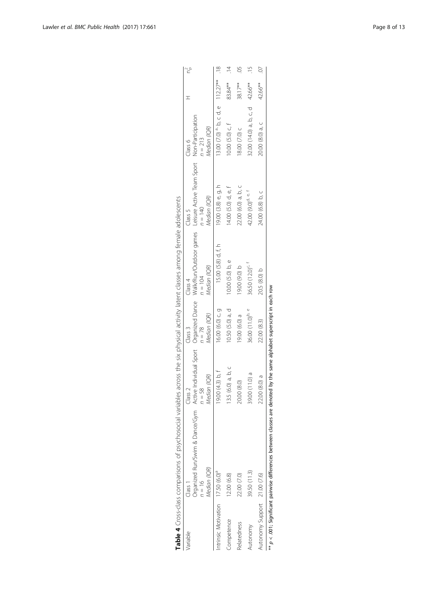<span id="page-7-0"></span>

|                                              | Table 4 Cross-class comparisons of psychosocial variables across the six physical activity latent classes among female adolescents |                                     |                                     |                                                                                                            |                                      |                                                            |         |                |
|----------------------------------------------|------------------------------------------------------------------------------------------------------------------------------------|-------------------------------------|-------------------------------------|------------------------------------------------------------------------------------------------------------|--------------------------------------|------------------------------------------------------------|---------|----------------|
| variable                                     | Organized Run/Swim & Dance/Gym Active Individual Sport Organized Dance<br>Median (IQR)<br>$n = 16$<br>. Tass 1                     | Median (IQR)<br>$n = 58$<br>Class 2 | Median (IQR)<br>$n = 78$<br>Class 3 | Walk/Run/Outdoor games Leisure Active Team Sport Non-Participation<br>Median (IQR)<br>$n = 104$<br>Class 4 | Median (IQR)<br>$n = 140$<br>Class 5 | Median (IQR)<br>$n = 213$<br>Class 6                       |         |                |
| ntrinsic Motivation 17.50 (6.0) <sup>ª</sup> |                                                                                                                                    | 19.00(4.3) b, f                     | 16.00 (6.0) C, g                    | 15.00 (5.8) d, f, h                                                                                        | 19.00 (3.8) e, g, h                  | 13.00 (7.0) <sup>a</sup> b, c d, e 112.27 <sup>**</sup> 18 |         |                |
| Competence                                   | 2.00 (6.8)                                                                                                                         | 13.5(6.0) a, b, c                   | $10.50(5.0)$ a, d                   | 10.00(5.0) b, e                                                                                            | 14.00 (5.0) d, e,                    | $0.00(5.0)$ c, f                                           | 83.84** |                |
| <b>Relatedness</b>                           | 22.00 (7.0)                                                                                                                        | 20.00 (8.0)                         | l 9.00 (6.0) a                      | 19.00 (9.0) b                                                                                              | 22.00 (6.0) a, b, c                  | 8.00 (7.0) c                                               | 38.17** | GS.            |
| utonomy                                      | 39.50 (11.3)                                                                                                                       | 39.00 (11.0) a                      | 36.00 (11.0) <sup>b, e</sup>        | 36.50 (12.0) <sup>c, f</sup>                                                                               | 42.00 $(9.0)^{d}$ . e. f             | 32.00 (14.0) a, b, c, d                                    | 42.66** |                |
| Autonomy Support 21.00 (7.6)                 |                                                                                                                                    | 22.00 (8.0) a                       | 22.00 (8.3)                         | 20.5 (8.0) b                                                                                               | 24.00 (6.8) b, c                     | 20.00 (8.0) a, c                                           | 42.66** | $\overline{0}$ |
|                                              | ₩ p < .001; Significant pairwise differences between classes are denoted by the same alphabet superscript in each row              |                                     |                                     |                                                                                                            |                                      |                                                            |         |                |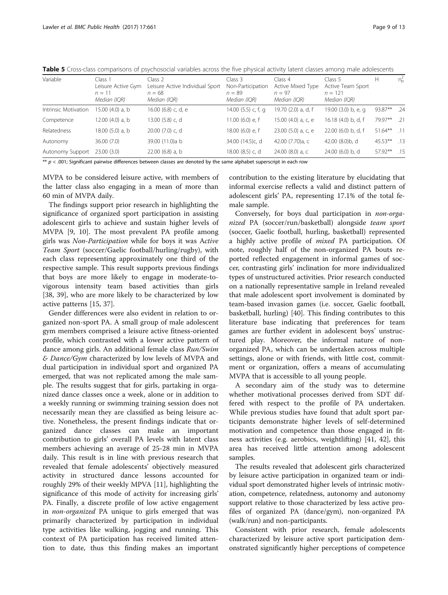| Variable             | Class 1<br>Leisure Active Gym<br>$n = 11$<br>Median (IQR) | Class 2<br>Leisure Active Individual Sport<br>$n = 68$<br>Median (IQR) | Class 3<br>Non-Participation<br>$n = 89$<br>Median (IQR) | Class 4<br>Active Mixed Type<br>$n = 97$<br>Median (IQR) | Class 5<br>Active Team Sport<br>$n = 121$<br>Median (IQR) | Н          | $n_p^2$ |
|----------------------|-----------------------------------------------------------|------------------------------------------------------------------------|----------------------------------------------------------|----------------------------------------------------------|-----------------------------------------------------------|------------|---------|
| Intrinsic Motivation | 15.00 (4.0) a, b                                          | 16.00 (6.8) c, d, e                                                    | 14.00 (5.5) c, f, q                                      | 19.70 (2.0) a, d, f                                      | 19.00 (3.0) b, e, q                                       | 93.87**    | - 24    |
| Competence           | 12.00 (4.0) a, b                                          | 13.00 (5.8) c, d                                                       | 11.00 (6.0) e, f                                         | 15.00 (4.0) a, c, e                                      | 16.18 (4.0) b, d, f                                       | 79.97**    | $-21$   |
| Relatedness          | $18.00(5.0)$ a, b                                         | 20.00 (7.0) c, d                                                       | 18.00 (6.0) e, f                                         | 23.00 (5.0) a, c, e                                      | 22.00 (6.0) b, d, f                                       | $51.64***$ | $-11$   |
| Autonomy             | 36.00(7.0)                                                | 39.00 (11.0)a b                                                        | 34.00 (14.5)c, d                                         | 42.00 (7.70)a, c                                         | 42.00 (8.0)b, d                                           | $45.53**$  | .13     |
| Autonomy Support     | 23.00(3.0)                                                | 22.00 (6.8) a, b                                                       | 18.00 (8.5) c, d                                         | 24.00 (8.0) a, c                                         | 24.00 (6.0) b, d                                          | 57.92**    | .15     |

<span id="page-8-0"></span>Table 5 Cross-class comparisons of psychosocial variables across the five physical activity latent classes among male adolescents

\*\*  $p < .001$ ; Significant pairwise differences between classes are denoted by the same alphabet superscript in each row

MVPA to be considered leisure active, with members of the latter class also engaging in a mean of more than 60 min of MVPA daily.

The findings support prior research in highlighting the significance of organized sport participation in assisting adolescent girls to achieve and sustain higher levels of MVPA [[9, 10\]](#page-11-0). The most prevalent PA profile among girls was Non-Participation while for boys it was Active Team Sport (soccer/Gaelic football/hurling/rugby), with each class representing approximately one third of the respective sample. This result supports previous findings that boys are more likely to engage in moderate-tovigorous intensity team based activities than girls [[38, 39](#page-12-0)], who are more likely to be characterized by low active patterns [\[15](#page-11-0), [37](#page-12-0)].

Gender differences were also evident in relation to organized non-sport PA. A small group of male adolescent gym members comprised a leisure active fitness-oriented profile, which contrasted with a lower active pattern of dance among girls. An additional female class Run/Swim  $\&$  Dance/Gym characterized by low levels of MVPA and dual participation in individual sport and organized PA emerged, that was not replicated among the male sample. The results suggest that for girls, partaking in organized dance classes once a week, alone or in addition to a weekly running or swimming training session does not necessarily mean they are classified as being leisure active. Nonetheless, the present findings indicate that organized dance classes can make an important contribution to girls' overall PA levels with latent class members achieving an average of 25-28 min in MVPA daily. This result is in line with previous research that revealed that female adolescents' objectively measured activity in structured dance lessons accounted for roughly 29% of their weekly MPVA [[11\]](#page-11-0), highlighting the significance of this mode of activity for increasing girls' PA. Finally, a discrete profile of low active engagement in non-organized PA unique to girls emerged that was primarily characterized by participation in individual type activities like walking, jogging and running. This context of PA participation has received limited attention to date, thus this finding makes an important contribution to the existing literature by elucidating that informal exercise reflects a valid and distinct pattern of adolescent girls' PA, representing 17.1% of the total female sample.

Conversely, for boys dual participation in non-organized PA (soccer/run/basketball) alongside team sport (soccer, Gaelic football, hurling, basketball) represented a highly active profile of *mixed* PA participation. Of note, roughly half of the non-organized PA bouts reported reflected engagement in informal games of soccer, contrasting girls' inclination for more individualized types of unstructured activities. Prior research conducted on a nationally representative sample in Ireland revealed that male adolescent sport involvement is dominated by team-based invasion games (i.e. soccer, Gaelic football, basketball, hurling) [\[40\]](#page-12-0). This finding contributes to this literature base indicating that preferences for team games are further evident in adolescent boys' unstructured play. Moreover, the informal nature of nonorganized PA, which can be undertaken across multiple settings, alone or with friends, with little cost, commitment or organization, offers a means of accumulating MVPA that is accessible to all young people.

A secondary aim of the study was to determine whether motivational processes derived from SDT differed with respect to the profile of PA undertaken. While previous studies have found that adult sport participants demonstrate higher levels of self-determined motivation and competence than those engaged in fitness activities (e.g. aerobics, weightlifting) [\[41](#page-12-0), [42](#page-12-0)], this area has received little attention among adolescent samples.

The results revealed that adolescent girls characterized by leisure active participation in organized team or individual sport demonstrated higher levels of intrinsic motivation, competence, relatedness, autonomy and autonomy support relative to those characterized by less active profiles of organized PA (dance/gym), non-organized PA (walk/run) and non-participants.

Consistent with prior research, female adolescents characterized by leisure active sport participation demonstrated significantly higher perceptions of competence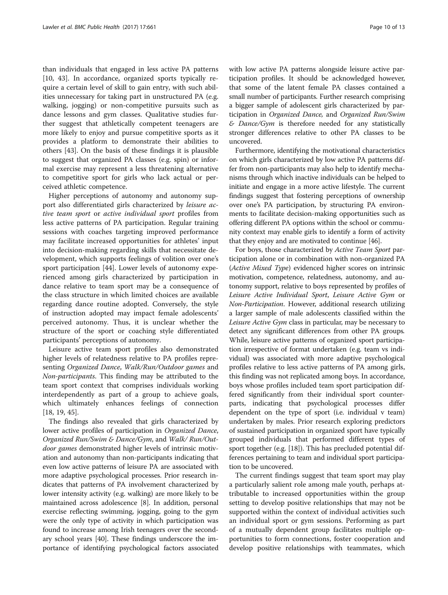than individuals that engaged in less active PA patterns [[10,](#page-11-0) [43\]](#page-12-0). In accordance, organized sports typically require a certain level of skill to gain entry, with such abilities unnecessary for taking part in unstructured PA (e.g. walking, jogging) or non-competitive pursuits such as dance lessons and gym classes. Qualitative studies further suggest that athletically competent teenagers are more likely to enjoy and pursue competitive sports as it provides a platform to demonstrate their abilities to others [[43\]](#page-12-0). On the basis of these findings it is plausible to suggest that organized PA classes (e.g. spin) or informal exercise may represent a less threatening alternative to competitive sport for girls who lack actual or perceived athletic competence.

Higher perceptions of autonomy and autonomy support also differentiated girls characterized by leisure active team sport or active individual sport profiles from less active patterns of PA participation. Regular training sessions with coaches targeting improved performance may facilitate increased opportunities for athletes' input into decision-making regarding skills that necessitate development, which supports feelings of volition over one's sport participation [\[44](#page-12-0)]. Lower levels of autonomy experienced among girls characterized by participation in dance relative to team sport may be a consequence of the class structure in which limited choices are available regarding dance routine adopted. Conversely, the style of instruction adopted may impact female adolescents' perceived autonomy. Thus, it is unclear whether the structure of the sport or coaching style differentiated participants' perceptions of autonomy.

Leisure active team sport profiles also demonstrated higher levels of relatedness relative to PA profiles representing Organized Dance, Walk/Run/Outdoor games and Non-participants. This finding may be attributed to the team sport context that comprises individuals working interdependently as part of a group to achieve goals, which ultimately enhances feelings of connection [[18, 19,](#page-11-0) [45](#page-12-0)].

The findings also revealed that girls characterized by lower active profiles of participation in Organized Dance, Organized Run/Swim & Dance/Gym, and Walk/ Run/Outdoor games demonstrated higher levels of intrinsic motivation and autonomy than non-participants indicating that even low active patterns of leisure PA are associated with more adaptive psychological processes. Prior research indicates that patterns of PA involvement characterized by lower intensity activity (e.g. walking) are more likely to be maintained across adolescence [\[8\]](#page-11-0). In addition, personal exercise reflecting swimming, jogging, going to the gym were the only type of activity in which participation was found to increase among Irish teenagers over the secondary school years [\[40](#page-12-0)]. These findings underscore the importance of identifying psychological factors associated

with low active PA patterns alongside leisure active participation profiles. It should be acknowledged however, that some of the latent female PA classes contained a small number of participants. Further research comprising a bigger sample of adolescent girls characterized by participation in Organized Dance, and Organized Run/Swim & Dance/Gym is therefore needed for any statistically stronger differences relative to other PA classes to be uncovered.

Furthermore, identifying the motivational characteristics on which girls characterized by low active PA patterns differ from non-participants may also help to identify mechanisms through which inactive individuals can be helped to initiate and engage in a more active lifestyle. The current findings suggest that fostering perceptions of ownership over one's PA participation, by structuring PA environments to facilitate decision-making opportunities such as offering different PA options within the school or community context may enable girls to identify a form of activity that they enjoy and are motivated to continue [\[46\]](#page-12-0).

For boys, those characterized by Active Team Sport participation alone or in combination with non-organized PA (Active Mixed Type) evidenced higher scores on intrinsic motivation, competence, relatedness, autonomy, and autonomy support, relative to boys represented by profiles of Leisure Active Individual Sport, Leisure Active Gym or Non-Participation. However, additional research utilizing a larger sample of male adolescents classified within the Leisure Active Gym class in particular, may be necessary to detect any significant differences from other PA groups. While, leisure active patterns of organized sport participation irrespective of format undertaken (e.g. team vs individual) was associated with more adaptive psychological profiles relative to less active patterns of PA among girls, this finding was not replicated among boys. In accordance, boys whose profiles included team sport participation differed significantly from their individual sport counterparts, indicating that psychological processes differ dependent on the type of sport (i.e. individual v team) undertaken by males. Prior research exploring predictors of sustained participation in organized sport have typically grouped individuals that performed different types of sport together (e.g. [\[18](#page-11-0)]). This has precluded potential differences pertaining to team and individual sport participation to be uncovered.

The current findings suggest that team sport may play a particularly salient role among male youth, perhaps attributable to increased opportunities within the group setting to develop positive relationships that may not be supported within the context of individual activities such an individual sport or gym sessions. Performing as part of a mutually dependent group facilitates multiple opportunities to form connections, foster cooperation and develop positive relationships with teammates, which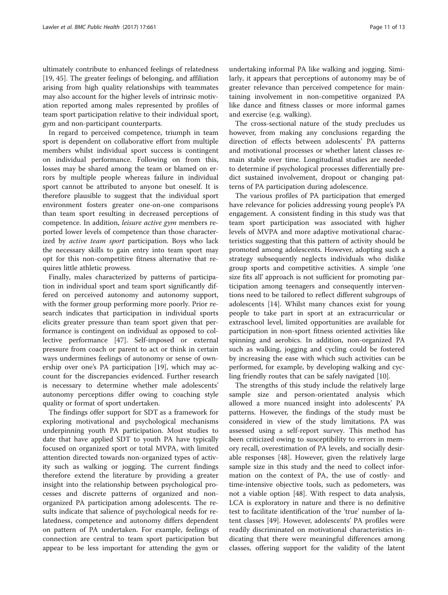ultimately contribute to enhanced feelings of relatedness [[19,](#page-11-0) [45\]](#page-12-0). The greater feelings of belonging, and affiliation arising from high quality relationships with teammates may also account for the higher levels of intrinsic motivation reported among males represented by profiles of team sport participation relative to their individual sport, gym and non-participant counterparts.

In regard to perceived competence, triumph in team sport is dependent on collaborative effort from multiple members whilst individual sport success is contingent on individual performance. Following on from this, losses may be shared among the team or blamed on errors by multiple people whereas failure in individual sport cannot be attributed to anyone but oneself. It is therefore plausible to suggest that the individual sport environment fosters greater one-on-one comparisons than team sport resulting in decreased perceptions of competence. In addition, leisure active gym members reported lower levels of competence than those characterized by active team sport participation. Boys who lack the necessary skills to gain entry into team sport may opt for this non-competitive fitness alternative that requires little athletic prowess.

Finally, males characterized by patterns of participation in individual sport and team sport significantly differed on perceived autonomy and autonomy support, with the former group performing more poorly. Prior research indicates that participation in individual sports elicits greater pressure than team sport given that performance is contingent on individual as opposed to collective performance [[47\]](#page-12-0). Self-imposed or external pressure from coach or parent to act or think in certain ways undermines feelings of autonomy or sense of ownership over one's PA participation [\[19](#page-11-0)], which may account for the discrepancies evidenced. Further research is necessary to determine whether male adolescents' autonomy perceptions differ owing to coaching style quality or format of sport undertaken.

The findings offer support for SDT as a framework for exploring motivational and psychological mechanisms underpinning youth PA participation. Most studies to date that have applied SDT to youth PA have typically focused on organized sport or total MVPA, with limited attention directed towards non-organized types of activity such as walking or jogging. The current findings therefore extend the literature by providing a greater insight into the relationship between psychological processes and discrete patterns of organized and nonorganized PA participation among adolescents. The results indicate that salience of psychological needs for relatedness, competence and autonomy differs dependent on pattern of PA undertaken. For example, feelings of connection are central to team sport participation but appear to be less important for attending the gym or

undertaking informal PA like walking and jogging. Similarly, it appears that perceptions of autonomy may be of greater relevance than perceived competence for maintaining involvement in non-competitive organized PA like dance and fitness classes or more informal games and exercise (e.g. walking).

The cross-sectional nature of the study precludes us however, from making any conclusions regarding the direction of effects between adolescents' PA patterns and motivational processes or whether latent classes remain stable over time. Longitudinal studies are needed to determine if psychological processes differentially predict sustained involvement, dropout or changing patterns of PA participation during adolescence.

The various profiles of PA participation that emerged have relevance for policies addressing young people's PA engagement. A consistent finding in this study was that team sport participation was associated with higher levels of MVPA and more adaptive motivational characteristics suggesting that this pattern of activity should be promoted among adolescents. However, adopting such a strategy subsequently neglects individuals who dislike group sports and competitive activities. A simple 'one size fits all' approach is not sufficient for promoting participation among teenagers and consequently interventions need to be tailored to reflect different subgroups of adolescents [\[14\]](#page-11-0). Whilst many chances exist for young people to take part in sport at an extracurricular or extraschool level, limited opportunities are available for participation in non-sport fitness oriented activities like spinning and aerobics. In addition, non-organized PA such as walking, jogging and cycling could be fostered by increasing the ease with which such activities can be performed, for example, by developing walking and cycling friendly routes that can be safely navigated [\[10\]](#page-11-0).

The strengths of this study include the relatively large sample size and person-orientated analysis which allowed a more nuanced insight into adolescents' PA patterns. However, the findings of the study must be considered in view of the study limitations. PA was assessed using a self-report survey. This method has been criticized owing to susceptibility to errors in memory recall, overestimation of PA levels, and socially desirable responses [[48\]](#page-12-0). However, given the relatively large sample size in this study and the need to collect information on the context of PA, the use of costly- and time-intensive objective tools, such as pedometers, was not a viable option [[48\]](#page-12-0). With respect to data analysis, LCA is exploratory in nature and there is no definitive test to facilitate identification of the 'true' number of latent classes [\[49\]](#page-12-0). However, adolescents' PA profiles were readily discriminated on motivational characteristics indicating that there were meaningful differences among classes, offering support for the validity of the latent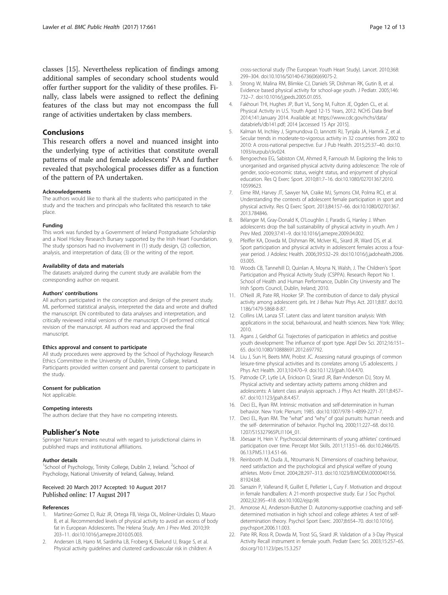<span id="page-11-0"></span>classes [15]. Nevertheless replication of findings among additional samples of secondary school students would offer further support for the validity of these profiles. Finally, class labels were assigned to reflect the defining features of the class but may not encompass the full range of activities undertaken by class members.

# Conclusions

This research offers a novel and nuanced insight into the underlying type of activities that constitute overall patterns of male and female adolescents' PA and further revealed that psychological processes differ as a function of the pattern of PA undertaken.

#### Acknowledgements

The authors would like to thank all the students who participated in the study and the teachers and principals who facilitated this research to take place.

#### Funding

This work was funded by a Government of Ireland Postgraduate Scholarship and a Noel Hickey Research Bursary supported by the Irish Heart Foundation. The study sponsors had no involvement in (1) study design, (2) collection, analysis, and interpretation of data; (3) or the writing of the report.

#### Availability of data and materials

The datasets analyzed during the current study are available from the corresponding author on request.

#### Authors' contributions

All authors participated in the conception and design of the present study. ML performed statistical analysis, interpreted the data and wrote and drafted the manuscript. EN contributed to data analyses and interpretation, and critically reviewed initial versions of the manuscript. CH performed critical revision of the manuscript. All authors read and approved the final manuscript.

#### Ethics approval and consent to participate

All study procedures were approved by the School of Psychology Research Ethics Committee in the University of Dublin, Trinity College, Ireland. Participants provided written consent and parental consent to participate in the study.

#### Consent for publication

Not applicable.

#### Competing interests

The authors declare that they have no competing interests.

### Publisher's Note

Springer Nature remains neutral with regard to jurisdictional claims in published maps and institutional affiliations.

#### Author details

<sup>1</sup>School of Psychology, Trinity College, Dublin 2, Ireland. <sup>2</sup>School of Psychology, National University of Ireland, Galway, Ireland.

#### Received: 20 March 2017 Accepted: 10 August 2017 Published online: 17 August 2017

#### References

- 1. Martinez-Gomez D, Ruiz JR, Ortega FB, Veiga OL, Moliner-Urdiales D, Mauro B, et al. Recommended levels of physical activity to avoid an excess of body fat in European Adolescents. The Helena Study. Am J Prev Med. 2010;39: 203–11. doi:[10.1016/j.amepre.2010.05.003.](http://dx.doi.org/10.1016/j.amepre.2010.05.003)
- 2. Andersen LB, Harro M, Sardinha LB, Froberg K, Ekelund U, Brage S, et al. Physical activity guidelines and clustered cardiovascular risk in children: A

cross-sectional study (The European Youth Heart Study). Lancet. 2010;368: 299–304. doi[:10.1016/S0140-6736\(06\)69075-2](http://dx.doi.org/10.1016/S0140-6736(06)69075-2).

- 3. Strong W, Malina RM, Blimkie CJ, Daniels SR, Dishman RK, Gutin B, et al. Evidence based physical activity for school-age youth. J Pediatr. 2005;146: 732–7. doi:[10.1016/j.jpeds.2005.01.055.](http://dx.doi.org/10.1016/j.jpeds.2005.01.055)
- 4. Fakhouri THI, Hughes JP, Burt VL, Song M, Fulton JE, Ogden CL, et al. Physical Activity in U.S. Youth Aged 12-15 Years, 2012. NCHS Data Brief 2014;141:January 2014. Available at: [https://www.cdc.gov/nchs/data/](https://www.cdc.gov/nchs/data/databriefs/db141.pdf) [databriefs/db141.pdf;](https://www.cdc.gov/nchs/data/databriefs/db141.pdf) 2014 [accessed 15 Apr 2015].
- 5. Kalman M, Inchley J, Sigmundova D, Iannotti RJ, Tynjala JA, Hamrik Z, et al. Secular trends in moderate-to-vigorous activity in 32 countries from 2002 to 2010: A cross-national perspective. Eur J Pub Health. 2015;25:37–40. doi:[10.](http://dx.doi.org/10.1093/eurpub/ckv024) [1093/eurpub/ckv024](http://dx.doi.org/10.1093/eurpub/ckv024).
- 6. Bengoechea EG, Sabiston CM, Ahmed R, Farnoush M. Exploring the links to unorganised and organised physical activity during adolescence: The role of gender, socio-economic status, weight status, and enjoyment of physical education. Res Q Exerc Sport. 2010;81:7–16. doi:[10.1080/02701367.2010.](http://dx.doi.org/10.1080/02701367.2010.10599623) [10599623](http://dx.doi.org/10.1080/02701367.2010.10599623).
- 7. Eime RM, Harvey JT, Sawyer NA, Craike MJ, Symons CM, Polma RCJ, et al. Understanding the contexts of adolescent female participation in sport and physical activity. Res Q Exerc Sport. 2013;84:157–66. doi:[10.1080/02701367.](http://dx.doi.org/10.1080/02701367.2013.784846) [2013.784846](http://dx.doi.org/10.1080/02701367.2013.784846).
- 8. Bélanger M, Gray-Donald K, O'Loughlin J, Paradis G, Hanley J. When adolescents drop the ball sustainability of physical activity in youth. Am J Prev Med. 2009;37:41–9. doi[:10.1016/j.amepre.2009.04.002](http://dx.doi.org/10.1016/j.amepre.2009.04.002).
- Pfeiffer KA, Dowda M, Dishman RK, McIver KL, Sirard JR, Ward DS, et al. Sport participation and physical activity in adolescent females across a fouryear period. J Adolesc Health. 2006;39:532–29. doi[:10.1016/j.jadohealth.2006.](http://dx.doi.org/10.1016/j.jadohealth.2006.03.005) [03.005.](http://dx.doi.org/10.1016/j.jadohealth.2006.03.005)
- 10. Woods CB, Tannehill D, Quinlan A, Moyna N, Walsh, J. The Children's Sport Participation and Physical Activity Study (CSPPA). Research Report No 1. School of Health and Human Performance, Dublin City University and The Irish Sports Council, Dublin, Ireland; 2010.
- 11. O'Neill JR, Pate RR, Hooker SP. The contribution of dance to daily physical activity among adolescent girls. Int J Behav Nutr Phys Act. 2011;8:87. doi:[10.](http://dx.doi.org/10.1186/1479-5868-8-87) [1186/1479-5868-8-87.](http://dx.doi.org/10.1186/1479-5868-8-87)
- 12. Collins LM, Lanza ST. Latent class and latent transition analysis: With applications in the social, behavioural, and health sciences. New York: Wiley; 2010.
- 13. Agans J, Geldhof GJ. Trajectories of participation in athletics and positive youth development: The influence of sport type. Appl Dev Sci. 2012;16:151– 65. doi[:10.1080/10888691.2012.697792](http://dx.doi.org/10.1080/10888691.2012.697792).
- 14. Liu J, Sun H, Beets MW, Probst JC. Assessing natural groupings of common leisure-time physical activities and its correlates among US adolescents. J Phys Act Health. 2013;10:470–9. doi:[10.1123/jpah.10.4.470](http://dx.doi.org/10.1123/jpah.10.4.470).
- 15. Patnode CP, Lytle LA, Erickson D, Sirard JR, Barr-Anderson DJ, Story M. Physical activity and sedentary activity patterns among children and adolescents: A latent class analysis approach. J Phys Act Health. 2011;8:457– 67. doi[:10.1123/jpah.8.4.457](http://dx.doi.org/10.1123/jpah.8.4.457).
- 16. Deci EL, Ryan RM. Intrinsic motivation and self-determination in human behavior. New York: Plenum; 1985. doi[:10.1007/978-1-4899-2271-7.](http://dx.doi.org/10.1007/978-1-4899-2271-7)
- 17. Deci EL, Ryan RM. The "what" and "why" of goal pursuits: human needs and the self- determination of behavior. Psychol Inq. 2000;11:227–68. doi[:10.](http://dx.doi.org/10.1207/S15327965PLI1104_01) [1207/S15327965PLI1104\\_01.](http://dx.doi.org/10.1207/S15327965PLI1104_01)
- 18. Jõesaar H, Hein V. Psychosocial determinants of young athletes' continued participation over time. Percept Mot Skills. 2011;113:51–66. doi[:10.2466/05.](http://dx.doi.org/10.2466/05.06.13.PMS.113.4.51-66) [06.13.PMS.113.4.51-66](http://dx.doi.org/10.2466/05.06.13.PMS.113.4.51-66).
- 19. Reinbooth M, Duda JL, Ntoumanis N. Dimensions of coaching behaviour, need satisfaction and the psychological and physical welfare of young athletes. Motiv Emot. 2004;28:297–313. doi[:10.1023/B:MOEM.0000040156.](http://dx.doi.org/10.1023/B:MOEM.0000040156.81924.b8) [81924.b8](http://dx.doi.org/10.1023/B:MOEM.0000040156.81924.b8).
- 20. Sarrazin P, Vallerand R, Guillet E, Pelletier L, Cury F. Motivation and dropout in female handballers: A 21-month prospective study. Eur J Soc Psychol. 2002;32:395–418. doi[:10.1002/ejsp.98.](http://dx.doi.org/10.1002/ejsp.98)
- 21. Amorose AJ, Anderson-Butcher D. Autonomy-supportive coaching and selfdetermined motivation in high school and college athletes: A test of selfdetermination theory. Psychol Sport Exerc. 2007;8:654–70. doi:[10.1016/j.](http://dx.doi.org/10.1016/j.psychsport.2006.11.003) [psychsport.2006.11.003.](http://dx.doi.org/10.1016/j.psychsport.2006.11.003)
- 22. Pate RR, Ross R, Dowda M, Trost SG, Sirard JR. Validation of a 3-Day Physical Activity Recall instrument in female youth. Pediatr Exerc Sci. 2003;15:257–65. [doi.org/10.1123/pes.15.3.257](http://dx.doi.org/10.1123/pes.15.3.257)